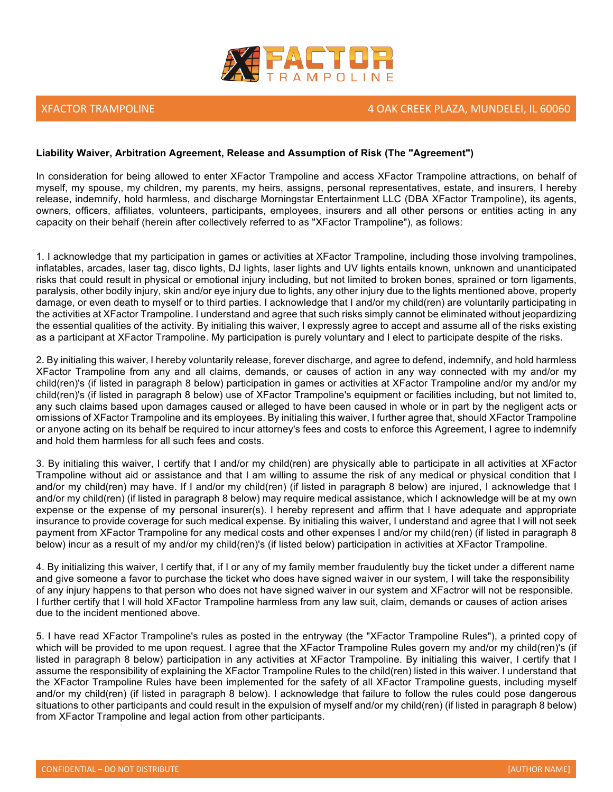

### XFACTOR TRAMPOLINE And the state of the state of the state of the state of the state of the state of the state of the state of the state of the state of the state of the state of the state of the state of the state of the

### **Liability Waiver, Arbitration Agreement, Release and Assumption of Risk (The "Agreement")**

In consideration for being allowed to enter XFactor Trampoline and access XFactor Trampoline attractions, on behalf of myself, my spouse, my children, my parents, my heirs, assigns, personal representatives, estate, and insurers, I hereby release, indemnify, hold harmless, and discharge Morningstar Entertainment LLC (DBA XFactor Trampoline), its agents, owners, officers, affiliates, volunteers, participants, employees, insurers and all other persons or entities acting in any capacity on their behalf (herein after collectively referred to as "XFactor Trampoline"), as follows:

1. I acknowledge that my participation in games or activities at XFactor Trampoline, including those involving trampolines, inflatables, arcades, laser tag, disco lights, DJ lights, laser lights and UV lights entails known, unknown and unanticipated risks that could result in physical or emotional injury including, but not limited to broken bones, sprained or torn ligaments, paralysis, other bodily injury, skin and/or eye injury due to lights, any other injury due to the lights mentioned above, property damage, or even death to myself or to third parties. I acknowledge that I and/or my child(ren) are voluntarily participating in the activities at XFactor Trampoline. I understand and agree that such risks simply cannot be eliminated without jeopardizing the essential qualities of the activity. By initialing this waiver, I expressly agree to accept and assume all of the risks existing as a participant at XFactor Trampoline. My participation is purely voluntary and I elect to participate despite of the risks.

2. By initialing this waiver, I hereby voluntarily release, forever discharge, and agree to defend, indemnify, and hold harmless XFactor Trampoline from any and all claims, demands, or causes of action in any way connected with my and/or my child(ren)'s (if listed in paragraph 8 below) participation in games or activities at XFactor Trampoline and/or my and/or my child(ren)'s (if listed in paragraph 8 below) use of XFactor Trampoline's equipment or facilities including, but not limited to, any such claims based upon damages caused or alleged to have been caused in whole or in part by the negligent acts or omissions of XFactor Trampoline and its employees. By initialing this waiver, I further agree that, should XFactor Trampoline or anyone acting on its behalf be required to incur attorney's fees and costs to enforce this Agreement, I agree to indemnify and hold them harmless for all such fees and costs.

3. By initialing this waiver, I certify that I and/or my child(ren) are physically able to participate in all activities at XFactor Trampoline without aid or assistance and that I am willing to assume the risk of any medical or physical condition that I and/or my child(ren) may have. If I and/or my child(ren) (if listed in paragraph 8 below) are injured, I acknowledge that I and/or my child(ren) (if listed in paragraph 8 below) may require medical assistance, which I acknowledge will be at my own expense or the expense of my personal insurer(s). I hereby represent and affirm that I have adequate and appropriate insurance to provide coverage for such medical expense. By initialing this waiver, I understand and agree that I will not seek payment from XFactor Trampoline for any medical costs and other expenses I and/or my child(ren) (if listed in paragraph 8 below) incur as a result of my and/or my child(ren)'s (if listed below) participation in activities at XFactor Trampoline.

4. By initializing this waiver, I certify that, if I or any of my family member fraudulently buy the ticket under a different name and give someone a favor to purchase the ticket who does have signed waiver in our system, I will take the responsibility of any injury happens to that person who does not have signed waiver in our system and XFactror will not be responsible. I further certify that I will hold XFactor Trampoline harmless from any law suit, claim, demands or causes of action arises due to the incident mentioned above.

5. I have read XFactor Trampoline's rules as posted in the entryway (the "XFactor Trampoline Rules"), a printed copy of which will be provided to me upon request. I agree that the XFactor Trampoline Rules govern my and/or my child(ren)'s (if listed in paragraph 8 below) participation in any activities at XFactor Trampoline. By initialing this waiver, I certify that I assume the responsibility of explaining the XFactor Trampoline Rules to the child(ren) listed in this waiver. I understand that the XFactor Trampoline Rules have been implemented for the safety of all XFactor Trampoline guests, including myself and/or my child(ren) (if listed in paragraph 8 below). I acknowledge that failure to follow the rules could pose dangerous situations to other participants and could result in the expulsion of myself and/or my child(ren) (if listed in paragraph 8 below) from XFactor Trampoline and legal action from other participants.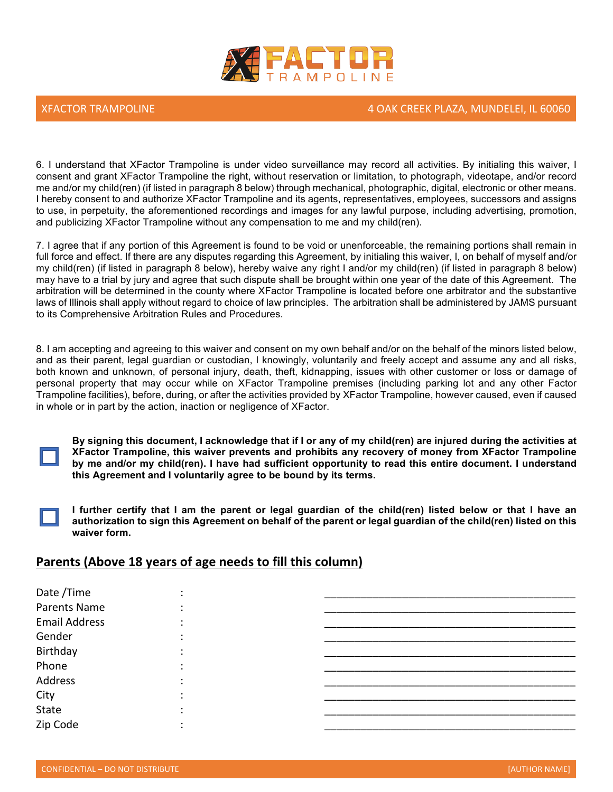

6. I understand that XFactor Trampoline is under video surveillance may record all activities. By initialing this waiver, I consent and grant XFactor Trampoline the right, without reservation or limitation, to photograph, videotape, and/or record me and/or my child(ren) (if listed in paragraph 8 below) through mechanical, photographic, digital, electronic or other means. I hereby consent to and authorize XFactor Trampoline and its agents, representatives, employees, successors and assigns to use, in perpetuity, the aforementioned recordings and images for any lawful purpose, including advertising, promotion, and publicizing XFactor Trampoline without any compensation to me and my child(ren).

7. I agree that if any portion of this Agreement is found to be void or unenforceable, the remaining portions shall remain in full force and effect. If there are any disputes regarding this Agreement, by initialing this waiver, I, on behalf of myself and/or my child(ren) (if listed in paragraph 8 below), hereby waive any right I and/or my child(ren) (if listed in paragraph 8 below) may have to a trial by jury and agree that such dispute shall be brought within one year of the date of this Agreement. The arbitration will be determined in the county where XFactor Trampoline is located before one arbitrator and the substantive laws of Illinois shall apply without regard to choice of law principles. The arbitration shall be administered by JAMS pursuant to its Comprehensive Arbitration Rules and Procedures.

8. I am accepting and agreeing to this waiver and consent on my own behalf and/or on the behalf of the minors listed below, and as their parent, legal guardian or custodian, I knowingly, voluntarily and freely accept and assume any and all risks, both known and unknown, of personal injury, death, theft, kidnapping, issues with other customer or loss or damage of personal property that may occur while on XFactor Trampoline premises (including parking lot and any other Factor Trampoline facilities), before, during, or after the activities provided by XFactor Trampoline, however caused, even if caused in whole or in part by the action, inaction or negligence of XFactor.

**By signing this document, I acknowledge that if I or any of my child(ren) are injured during the activities at XFactor Trampoline, this waiver prevents and prohibits any recovery of money from XFactor Trampoline by me and/or my child(ren). I have had sufficient opportunity to read this entire document. I understand this Agreement and I voluntarily agree to be bound by its terms.**

**I further certify that I am the parent or legal guardian of the child(ren) listed below or that I have an authorization to sign this Agreement on behalf of the parent or legal guardian of the child(ren) listed on this waiver form.**

## **Parents (Above 18 years of age needs to fill this column)**

| Date /Time           |  |
|----------------------|--|
| Parents Name         |  |
| <b>Email Address</b> |  |
| Gender               |  |
| Birthday             |  |
| Phone                |  |
| Address              |  |
| City                 |  |
| State                |  |
| Zip Code             |  |